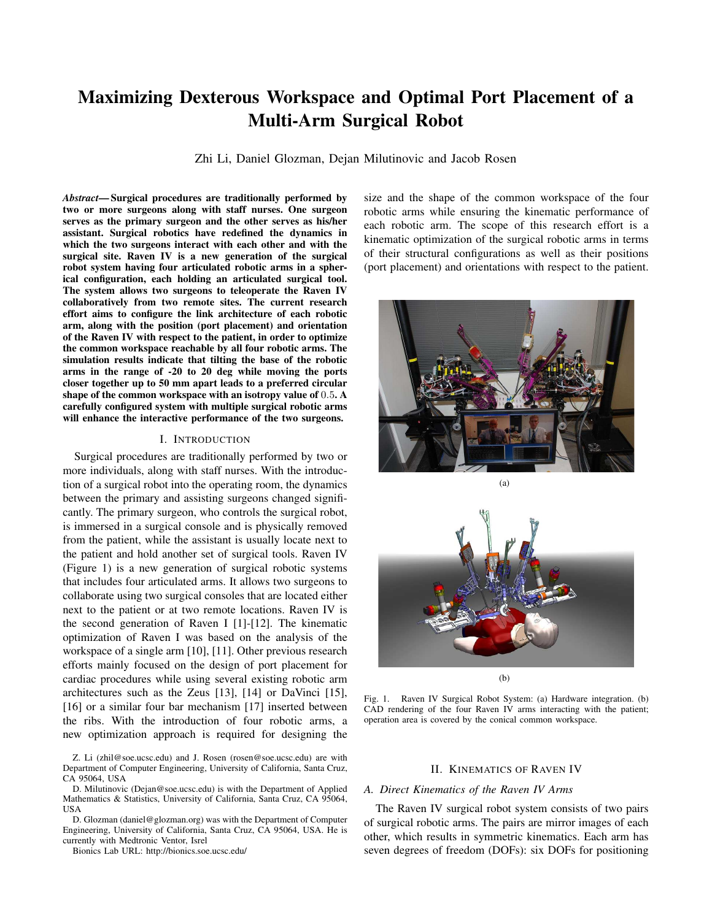# Maximizing Dexterous Workspace and Optimal Port Placement of a Multi-Arm Surgical Robot

Zhi Li, Daniel Glozman, Dejan Milutinovic and Jacob Rosen

*Abstract*— Surgical procedures are traditionally performed by two or more surgeons along with staff nurses. One surgeon serves as the primary surgeon and the other serves as his/her assistant. Surgical robotics have redefined the dynamics in which the two surgeons interact with each other and with the surgical site. Raven IV is a new generation of the surgical robot system having four articulated robotic arms in a spherical configuration, each holding an articulated surgical tool. The system allows two surgeons to teleoperate the Raven IV collaboratively from two remote sites. The current research effort aims to configure the link architecture of each robotic arm, along with the position (port placement) and orientation of the Raven IV with respect to the patient, in order to optimize the common workspace reachable by all four robotic arms. The simulation results indicate that tilting the base of the robotic arms in the range of -20 to 20 deg while moving the ports closer together up to 50 mm apart leads to a preferred circular shape of the common workspace with an isotropy value of 0.5. A carefully configured system with multiple surgical robotic arms will enhance the interactive performance of the two surgeons.

#### I. INTRODUCTION

Surgical procedures are traditionally performed by two or more individuals, along with staff nurses. With the introduction of a surgical robot into the operating room, the dynamics between the primary and assisting surgeons changed significantly. The primary surgeon, who controls the surgical robot, is immersed in a surgical console and is physically removed from the patient, while the assistant is usually locate next to the patient and hold another set of surgical tools. Raven IV (Figure 1) is a new generation of surgical robotic systems that includes four articulated arms. It allows two surgeons to collaborate using two surgical consoles that are located either next to the patient or at two remote locations. Raven IV is the second generation of Raven I [1]-[12]. The kinematic optimization of Raven I was based on the analysis of the workspace of a single arm [10], [11]. Other previous research efforts mainly focused on the design of port placement for cardiac procedures while using several existing robotic arm architectures such as the Zeus [13], [14] or DaVinci [15], [16] or a similar four bar mechanism [17] inserted between the ribs. With the introduction of four robotic arms, a new optimization approach is required for designing the

Z. Li (zhil@soe.ucsc.edu) and J. Rosen (rosen@soe.ucsc.edu) are with Department of Computer Engineering, University of California, Santa Cruz, CA 95064, USA

D. Milutinovic (Dejan@soe.ucsc.edu) is with the Department of Applied Mathematics & Statistics, University of California, Santa Cruz, CA 95064, USA

D. Glozman (daniel@glozman.org) was with the Department of Computer Engineering, University of California, Santa Cruz, CA 95064, USA. He is currently with Medtronic Ventor, Isrel

Bionics Lab URL: http://bionics.soe.ucsc.edu/

size and the shape of the common workspace of the four robotic arms while ensuring the kinematic performance of each robotic arm. The scope of this research effort is a kinematic optimization of the surgical robotic arms in terms of their structural configurations as well as their positions (port placement) and orientations with respect to the patient.





(b)

Fig. 1. Raven IV Surgical Robot System: (a) Hardware integration. (b) CAD rendering of the four Raven IV arms interacting with the patient; operation area is covered by the conical common workspace.

#### II. KINEMATICS OF RAVEN IV

#### *A. Direct Kinematics of the Raven IV Arms*

The Raven IV surgical robot system consists of two pairs of surgical robotic arms. The pairs are mirror images of each other, which results in symmetric kinematics. Each arm has seven degrees of freedom (DOFs): six DOFs for positioning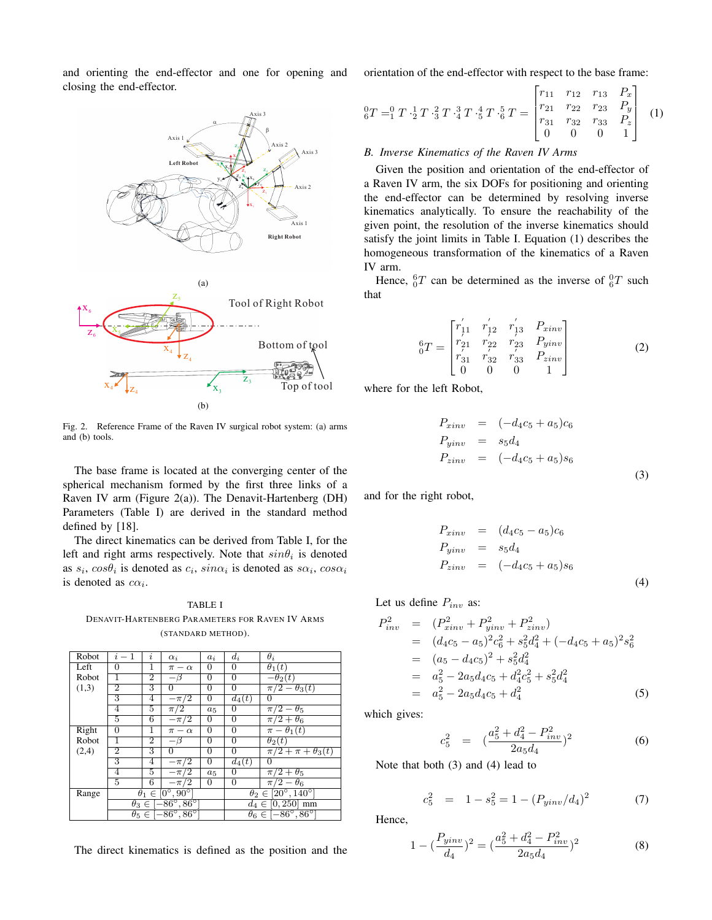and orienting the end-effector and one for opening and closing the end-effector.





Fig. 2. Reference Frame of the Raven IV surgical robot system: (a) arms and (b) tools.

The base frame is located at the converging center of the spherical mechanism formed by the first three links of a Raven IV arm (Figure  $2(a)$ ). The Denavit-Hartenberg (DH) Parameters (Table I) are derived in the standard method defined by [18].

The direct kinematics can be derived from Table I, for the left and right arms respectively. Note that  $sin\theta_i$  is denoted as  $s_i$ ,  $cos\theta_i$  is denoted as  $c_i$ ,  $sin\alpha_i$  is denoted as  $s\alpha_i$ ,  $cos\alpha_i$ is denoted as  $c\alpha_i$ .

# TABLE I DENAVIT-HARTENBERG PARAMETERS FOR RAVEN IV ARMS (STANDARD METHOD).

| Robot | $i-1$                                           | $\mathbf{r}$   | $\alpha_i$     | $a_i$          | $d_i$                                    | $\theta_i$                   |
|-------|-------------------------------------------------|----------------|----------------|----------------|------------------------------------------|------------------------------|
| Left  | $\Omega$                                        | 1              | $\pi-\alpha$   | $\Omega$       | 0                                        | $\theta_1(t)$                |
| Robot | 1                                               | $\overline{2}$ | $-\bar{\beta}$ | $\overline{0}$ | $\overline{0}$                           | $-\theta_2(t)$               |
| (1,3) | 2                                               | 3              | 0              | $\Omega$       | $\overline{0}$                           | $\pi/2 - \theta_3(t)$        |
|       | 3                                               | 4              | $-\pi/2$       | 0              | $d_4(t)$                                 | $\Omega$                     |
|       | 4                                               | 5              | $\pi/2$        | $a_5$          | 0                                        | $\pi/2-\theta_5$             |
|       | 5                                               | $\overline{6}$ | $-\pi/2$       | 0              | $\overline{0}$                           | $\pi/2 + \theta_6$           |
| Right | $\Omega$                                        | 1              | $\pi - \alpha$ | $\Omega$       | $\overline{0}$                           | $\overline{\pi-\theta_1}(t)$ |
| Robot | ī                                               | $\overline{2}$ | $-\beta$       | 0              | $\overline{0}$                           | $\theta_2(t)$                |
| (2,4) | $\overline{2}$                                  | 3              | 0              | $\Omega$       | $\overline{0}$                           | $\pi/2 + \pi + \theta_3(t)$  |
|       | 3                                               | 4              | $-\pi/2$       | 0              | $d_4(t)$                                 | 0                            |
|       | 4                                               | 5              | $-\pi/2$       | $a_5$          | 0                                        | $\pi/2 + \theta_5$           |
|       | 5                                               | 6              | $-\pi/2$       | $\overline{0}$ | $\overline{0}$                           | $\pi/2-\theta_6$             |
| Range | $\theta_1 \in [0^\circ, 90^\circ]$              |                |                |                | $\theta_2 \in [20^{\circ}, 140^{\circ}]$ |                              |
|       | $\theta_3 \in \left[-86^\circ, 86^\circ\right]$ |                |                |                | $d_4 \in [0, 250]$ mm                    |                              |
|       | $\theta_5 \in [-86^\circ, 86^\circ]$            |                |                |                | $\theta_6 \in [-86^\circ, 86^\circ]$     |                              |

The direct kinematics is defined as the position and the

orientation of the end-effector with respect to the base frame:  $\frac{1}{\sqrt{2}}$  $\overline{a}$ 

$$
{}_{6}^{0}T = {}_{1}^{0}T \cdot {}_{2}^{1}T \cdot {}_{3}^{2}T \cdot {}_{4}^{3}T \cdot {}_{5}^{4}T \cdot {}_{5}^{5}T = \begin{bmatrix} r_{11} & r_{12} & r_{13} & P_x \\ r_{21} & r_{22} & r_{23} & P_y \\ r_{31} & r_{32} & r_{33} & P_z \\ 0 & 0 & 0 & 1 \end{bmatrix} (1)
$$

## *B. Inverse Kinematics of the Raven IV Arms*

Given the position and orientation of the end-effector of a Raven IV arm, the six DOFs for positioning and orienting the end-effector can be determined by resolving inverse kinematics analytically. To ensure the reachability of the given point, the resolution of the inverse kinematics should satisfy the joint limits in Table I. Equation (1) describes the homogeneous transformation of the kinematics of a Raven IV arm.

Hence,  ${}^{6}_{0}T$  can be determined as the inverse of  ${}^{0}_{6}T$  such that

$$
{}_{0}^{6}T = \begin{bmatrix} r'_{11} & r'_{12} & r'_{13} & P_{xinv} \\ r'_{21} & r'_{22} & r'_{23} & P_{yinv} \\ r'_{31} & r'_{32} & r'_{33} & P_{zinv} \\ 0 & 0 & 0 & 1 \end{bmatrix}
$$
 (2)

where for the left Robot,

$$
P_{xinv} = (-d_4c_5 + a_5)c_6
$$
  
\n
$$
P_{yinv} = s_5d_4
$$
  
\n
$$
P_{zinv} = (-d_4c_5 + a_5)s_6
$$
  
\n(3)

and for the right robot,

$$
P_{xinv} = (d_4c_5 - a_5)c_6
$$
  
\n
$$
P_{yinv} = s_5d_4
$$
  
\n
$$
P_{zinv} = (-d_4c_5 + a_5)s_6
$$
  
\n(4)

Let us define  $P_{inv}$  as:

$$
P_{inv}^2 = (P_{zinv}^2 + P_{yinv}^2 + P_{zinv}^2)
$$
  
\n
$$
= (d_4c_5 - a_5)^2c_6^2 + s_5^2d_4^2 + (-d_4c_5 + a_5)^2s_6^2
$$
  
\n
$$
= (a_5 - d_4c_5)^2 + s_5^2d_4^2
$$
  
\n
$$
= a_5^2 - 2a_5d_4c_5 + d_4^2c_5^2 + s_5^2d_4^2
$$
  
\n
$$
= a_5^2 - 2a_5d_4c_5 + d_4^2
$$
 (5)

which gives:

$$
c_5^2 = \left(\frac{a_5^2 + d_4^2 - P_{inv}^2}{2a_5d_4}\right)^2 \tag{6}
$$

Note that both (3) and (4) lead to

$$
c_5^2 = 1 - s_5^2 = 1 - (P_{yinv}/d_4)^2 \tag{7}
$$

Hence,

$$
1 - \left(\frac{P_{yinv}}{d_4}\right)^2 = \left(\frac{a_5^2 + d_4^2 - P_{inv}^2}{2a_5d_4}\right)^2\tag{8}
$$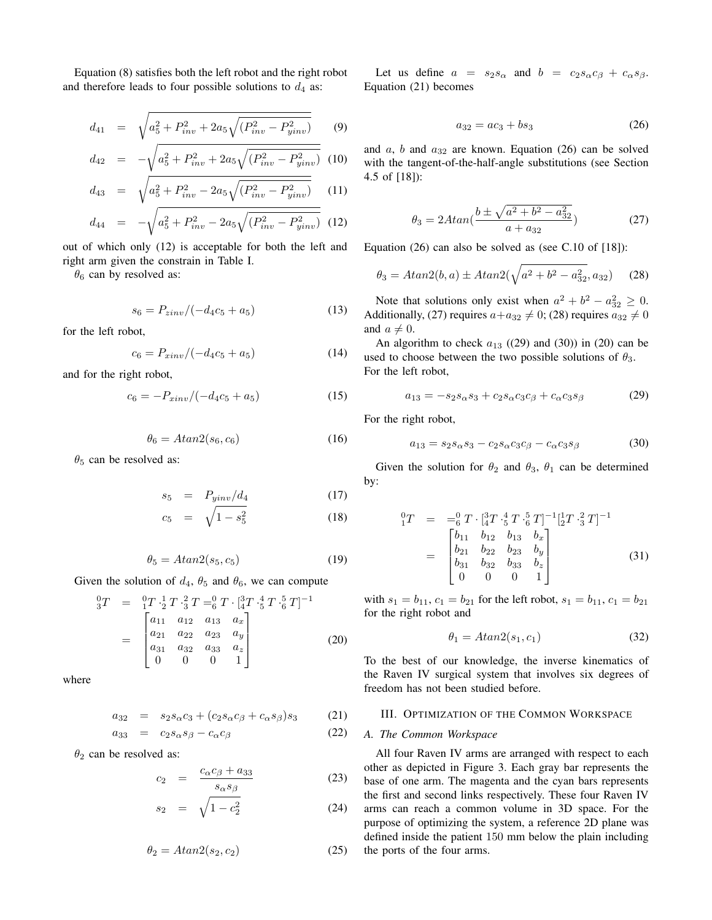Equation (8) satisfies both the left robot and the right robot and therefore leads to four possible solutions to  $d_4$  as:

$$
d_{41} = \sqrt{a_5^2 + P_{inv}^2 + 2a_5\sqrt{(P_{inv}^2 - P_{yinv}^2)}}
$$
 (9)

$$
d_{42} = -\sqrt{a_5^2 + P_{inv}^2 + 2a_5\sqrt{(P_{inv}^2 - P_{yinv}^2)}} \tag{10}
$$

$$
d_{43} = \sqrt{a_5^2 + P_{inv}^2 - 2a_5\sqrt{(P_{inv}^2 - P_{yinv}^2)}}
$$
 (11)

$$
d_{44} = -\sqrt{a_5^2 + P_{inv}^2 - 2a_5\sqrt{(P_{inv}^2 - P_{yinv}^2)}} \tag{12}
$$

out of which only (12) is acceptable for both the left and right arm given the constrain in Table I.

 $\theta_6$  can by resolved as:

$$
s_6 = P_{zinv}/(-d_4c_5 + a_5) \tag{13}
$$

for the left robot,

$$
c_6 = P_{xinv}/(-d_4c_5 + a_5) \tag{14}
$$

and for the right robot,

$$
c_6 = -P_{xinv}/(-d_4c_5 + a_5) \tag{15}
$$

$$
\theta_6 = Atan2(s_6, c_6) \tag{16}
$$

 $\theta_5$  can be resolved as:

$$
s_5 = P_{\text{yinv}}/d_4 \tag{17}
$$

$$
c_5 = \sqrt{1 - s_5^2} \tag{18}
$$

$$
\theta_5 = Atan2(s_5, c_5) \tag{19}
$$

Given the solution of  $d_4$ ,  $\theta_5$  and  $\theta_6$ , we can compute

$$
\begin{aligned}\n\overset{0}{3}T &= \; \; \overset{0}{1}T \cdot \frac{1}{2}T \cdot \overset{2}{3}T = \overset{0}{6}T \cdot \left[\overset{3}{4}T \cdot \overset{4}{5}T \cdot \overset{5}{6}T\right]^{-1} \\
&= \; \begin{bmatrix}\na_{11} & a_{12} & a_{13} & a_x \\
a_{21} & a_{22} & a_{23} & a_y \\
a_{31} & a_{32} & a_{33} & a_z \\
0 & 0 & 0 & 1\n\end{bmatrix}\n\end{aligned} \tag{20}
$$

where

$$
a_{32} = s_2 s_\alpha c_3 + (c_2 s_\alpha c_\beta + c_\alpha s_\beta) s_3 \tag{21}
$$

$$
a_{33} = c_2 s_\alpha s_\beta - c_\alpha c_\beta \tag{22}
$$

 $\theta_2$  can be resolved as:

$$
c_2 = \frac{c_{\alpha}c_{\beta} + a_{33}}{s_{\alpha}s_{\beta}}
$$
 (23)

$$
s_2 = \sqrt{1 - c_2^2} \tag{24}
$$

$$
\theta_2 = Atan2(s_2, c_2) \tag{25}
$$

Let us define  $a = s_2s_\alpha$  and  $b = c_2s_\alpha c_\beta + c_\alpha s_\beta$ . Equation (21) becomes

$$
a_{32} = ac_3 + bs_3 \tag{26}
$$

and  $a$ ,  $b$  and  $a_{32}$  are known. Equation (26) can be solved with the tangent-of-the-half-angle substitutions (see Section 4.5 of [18]):

$$
\theta_3 = 2Atan(\frac{b \pm \sqrt{a^2 + b^2 - a_{32}^2}}{a + a_{32}})
$$
 (27)

Equation (26) can also be solved as (see C.10 of [18]):

$$
\theta_3 = A \tan(2(b, a) \pm A \tan(2(\sqrt{a^2 + b^2 - a_{32}^2}, a_{32})) \quad (28)
$$

Note that solutions only exist when  $a^2 + b^2 - a_{32}^2 \ge 0$ . Additionally, (27) requires  $a+a_{32} \neq 0$ ; (28) requires  $a_{32} \neq 0$ and  $a \neq 0$ .

An algorithm to check  $a_{13}$  ((29) and (30)) in (20) can be used to choose between the two possible solutions of  $\theta_3$ . For the left robot,

$$
a_{13} = -s_2 s_\alpha s_3 + c_2 s_\alpha c_3 c_\beta + c_\alpha c_3 s_\beta \tag{29}
$$

For the right robot,

$$
a_{13} = s_2 s_\alpha s_3 - c_2 s_\alpha c_3 c_\beta - c_\alpha c_3 s_\beta \tag{30}
$$

Given the solution for  $\theta_2$  and  $\theta_3$ ,  $\theta_1$  can be determined by:

$$
\begin{array}{rcl}\n{}_{1}^{0}T & = & -\frac{0}{6} \, T \cdot \left[ \frac{3}{4} T \cdot \frac{4}{5} \, T \cdot \frac{5}{6} \, T \right]^{-1} \left[ \frac{1}{2} T \cdot \frac{2}{3} \, T \right]^{-1} \\
\\
& = & \begin{bmatrix}\n b_{11} & b_{12} & b_{13} & b_x \\
 b_{21} & b_{22} & b_{23} & b_y \\
 b_{31} & b_{32} & b_{33} & b_z \\
 0 & 0 & 0 & 1\n\end{bmatrix}\n\end{array}\n\tag{31}
$$

with  $s_1 = b_{11}$ ,  $c_1 = b_{21}$  for the left robot,  $s_1 = b_{11}$ ,  $c_1 = b_{21}$ for the right robot and

$$
\theta_1 = Atan2(s_1, c_1) \tag{32}
$$

To the best of our knowledge, the inverse kinematics of the Raven IV surgical system that involves six degrees of freedom has not been studied before.

#### III. OPTIMIZATION OF THE COMMON WORKSPACE

### *A. The Common Workspace*

All four Raven IV arms are arranged with respect to each other as depicted in Figure 3. Each gray bar represents the base of one arm. The magenta and the cyan bars represents the first and second links respectively. These four Raven IV arms can reach a common volume in 3D space. For the purpose of optimizing the system, a reference 2D plane was defined inside the patient 150 mm below the plain including the ports of the four arms.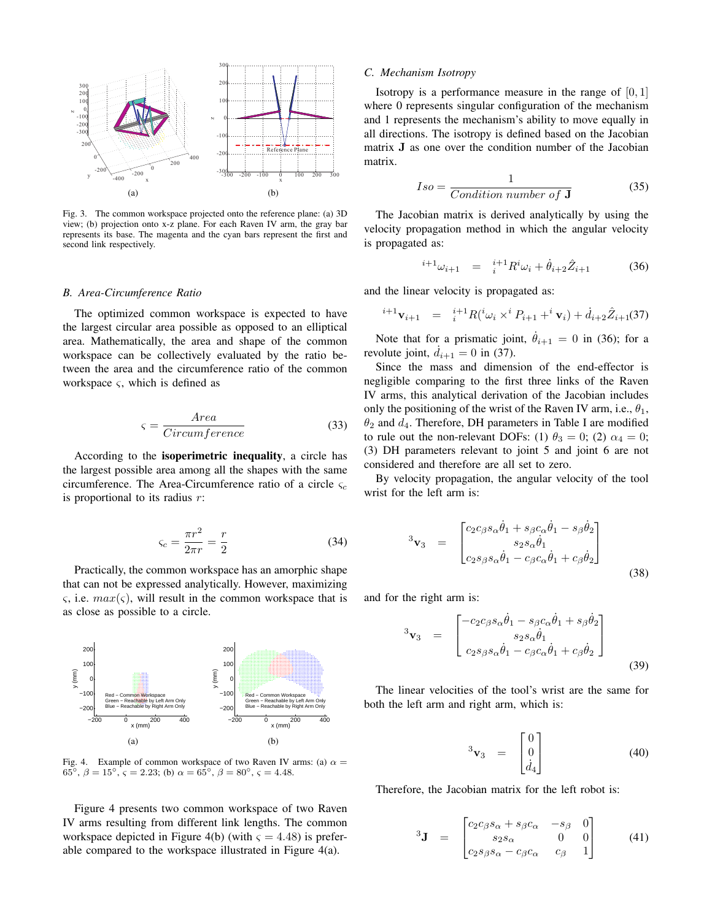

Fig. 3. The common workspace projected onto the reference plane: (a) 3D view; (b) projection onto x-z plane. For each Raven IV arm, the gray bar represents its base. The magenta and the cyan bars represent the first and second link respectively.

#### *B. Area-Circumference Ratio*

The optimized common workspace is expected to have the largest circular area possible as opposed to an elliptical area. Mathematically, the area and shape of the common workspace can be collectively evaluated by the ratio between the area and the circumference ratio of the common workspace  $\varsigma$ , which is defined as

$$
\varsigma = \frac{Area}{Circumference} \tag{33}
$$

According to the isoperimetric inequality, a circle has the largest possible area among all the shapes with the same circumference. The Area-Circumference ratio of a circle  $\varsigma_c$ is proportional to its radius  $r$ :

$$
\varsigma_c = \frac{\pi r^2}{2\pi r} = \frac{r}{2} \tag{34}
$$

Practically, the common workspace has an amorphic shape that can not be expressed analytically. However, maximizing  $\varsigma$ , i.e.  $max(\varsigma)$ , will result in the common workspace that is as close as possible to a circle.



Fig. 4. Example of common workspace of two Raven IV arms: (a)  $\alpha =$ 65<sup>°</sup>,  $\beta = 15$ <sup>°</sup>,  $\varsigma = 2.23$ ; (b)  $\alpha = 65$ <sup>°</sup>,  $\beta = 80$ <sup>°</sup>,  $\varsigma = 4.48$ .

Figure 4 presents two common workspace of two Raven IV arms resulting from different link lengths. The common workspace depicted in Figure 4(b) (with  $\varsigma = 4.48$ ) is preferable compared to the workspace illustrated in Figure 4(a).

#### *C. Mechanism Isotropy*

Isotropy is a performance measure in the range of  $[0, 1]$ where 0 represents singular configuration of the mechanism and 1 represents the mechanism's ability to move equally in all directions. The isotropy is defined based on the Jacobian matrix J as one over the condition number of the Jacobian matrix.

$$
Iso = \frac{1}{Condition \ number \ of \ J}
$$
 (35)

The Jacobian matrix is derived analytically by using the velocity propagation method in which the angular velocity is propagated as:

$$
{}^{i+1}\omega_{i+1} = {}^{i+1}_{i}R^i\omega_i + \dot{\theta}_{i+2}\hat{Z}_{i+1}
$$
 (36)

and the linear velocity is propagated as:

$$
{}^{i+1}\mathbf{v}_{i+1} = {}^{i+1}R({}^{i}\omega_i \times {}^{i}P_{i+1} + {}^{i}\mathbf{v}_i) + \dot{d}_{i+2}\hat{Z}_{i+1}(37)
$$

Note that for a prismatic joint,  $\dot{\theta}_{i+1} = 0$  in (36); for a revolute joint,  $\dot{d}_{i+1} = 0$  in (37).

Since the mass and dimension of the end-effector is negligible comparing to the first three links of the Raven IV arms, this analytical derivation of the Jacobian includes only the positioning of the wrist of the Raven IV arm, i.e.,  $\theta_1$ ,  $\theta_2$  and  $d_4$ . Therefore, DH parameters in Table I are modified to rule out the non-relevant DOFs: (1)  $\theta_3 = 0$ ; (2)  $\alpha_4 = 0$ ; (3) DH parameters relevant to joint 5 and joint 6 are not considered and therefore are all set to zero.

By velocity propagation, the angular velocity of the tool wrist for the left arm is:

$$
{}^{3}\mathbf{v}_{3} = \begin{bmatrix} c_{2}c_{\beta}s_{\alpha}\dot{\theta}_{1} + s_{\beta}c_{\alpha}\dot{\theta}_{1} - s_{\beta}\dot{\theta}_{2} \\ s_{2}s_{\alpha}\dot{\theta}_{1} \\ c_{2}s_{\beta}s_{\alpha}\dot{\theta}_{1} - c_{\beta}c_{\alpha}\dot{\theta}_{1} + c_{\beta}\dot{\theta}_{2} \end{bmatrix}
$$
(38)

and for the right arm is:

$$
{}^{3}\mathbf{v}_{3} = \begin{bmatrix} -c_{2}c_{\beta}s_{\alpha}\dot{\theta}_{1} - s_{\beta}c_{\alpha}\dot{\theta}_{1} + s_{\beta}\dot{\theta}_{2} \\ s_{2}s_{\alpha}\dot{\theta}_{1} \\ c_{2}s_{\beta}s_{\alpha}\dot{\theta}_{1} - c_{\beta}c_{\alpha}\dot{\theta}_{1} + c_{\beta}\dot{\theta}_{2} \end{bmatrix}
$$
(39)

The linear velocities of the tool's wrist are the same for both the left arm and right arm, which is:

$$
{}^{3}\mathbf{v}_{3} = \begin{bmatrix} 0\\0\\ \dot{d}_{4} \end{bmatrix} \tag{40}
$$

Therefore, the Jacobian matrix for the left robot is:

$$
{}^{3}\mathbf{J} = \begin{bmatrix} c_{2}c_{\beta}s_{\alpha} + s_{\beta}c_{\alpha} & -s_{\beta} & 0\\ s_{2}s_{\alpha} & 0 & 0\\ c_{2}s_{\beta}s_{\alpha} - c_{\beta}c_{\alpha} & c_{\beta} & 1 \end{bmatrix}
$$
(41)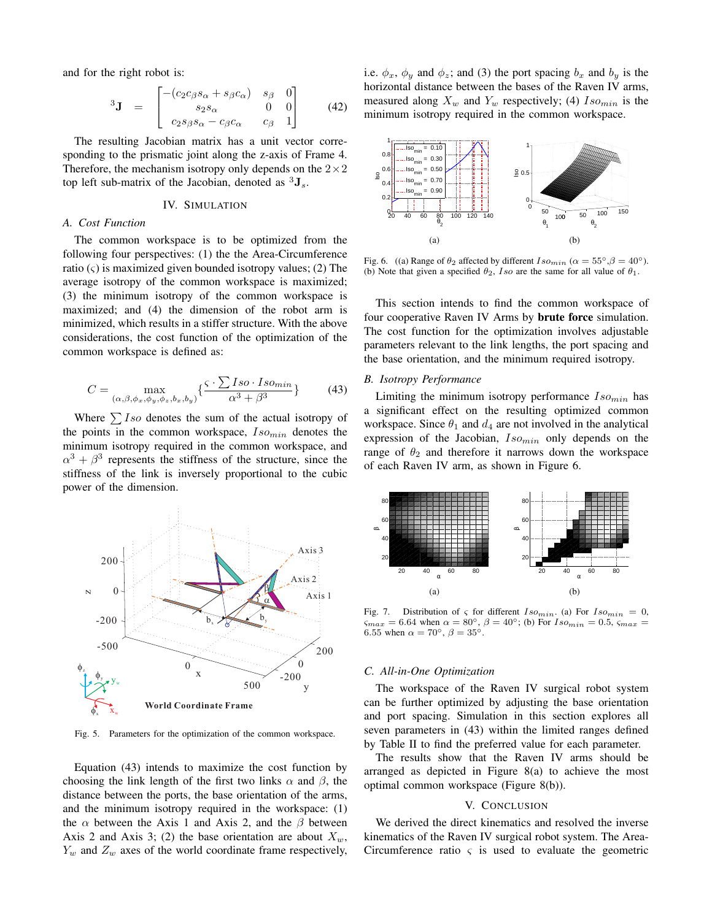and for the right robot is:

$$
{}^{3}\mathbf{J} = \begin{bmatrix} -(c_{2}c_{\beta}s_{\alpha} + s_{\beta}c_{\alpha}) & s_{\beta} & 0\\ s_{2}s_{\alpha} & 0 & 0\\ c_{2}s_{\beta}s_{\alpha} - c_{\beta}c_{\alpha} & c_{\beta} & 1 \end{bmatrix}
$$
(42)

The resulting Jacobian matrix has a unit vector corresponding to the prismatic joint along the z-axis of Frame 4. Therefore, the mechanism isotropy only depends on the  $2 \times 2$ top left sub-matrix of the Jacobian, denoted as  ${}^{3}$ **J**<sub>s</sub>.

## IV. SIMULATION

## *A. Cost Function*

The common workspace is to be optimized from the following four perspectives: (1) the the Area-Circumference ratio  $(\varsigma)$  is maximized given bounded isotropy values; (2) The average isotropy of the common workspace is maximized; (3) the minimum isotropy of the common workspace is maximized; and (4) the dimension of the robot arm is minimized, which results in a stiffer structure. With the above considerations, the cost function of the optimization of the common workspace is defined as:

$$
C = \max_{(\alpha,\beta,\phi_x,\phi_y,\phi_z,b_x,b_y)} \left\{ \frac{\varsigma \cdot \sum Iso \cdot Iso_{min}}{\alpha^3 + \beta^3} \right\}
$$
(43)

Where  $\sum$  Iso denotes the sum of the actual isotropy of the points in the common workspace,  $Iso_{min}$  denotes the minimum isotropy required in the common workspace, and  $\alpha^3 + \beta^3$  represents the stiffness of the structure, since the stiffness of the link is inversely proportional to the cubic power of the dimension.



Fig. 5. Parameters for the optimization of the common workspace.

Equation (43) intends to maximize the cost function by choosing the link length of the first two links  $\alpha$  and  $\beta$ , the distance between the ports, the base orientation of the arms, and the minimum isotropy required in the workspace: (1) the  $\alpha$  between the Axis 1 and Axis 2, and the  $\beta$  between Axis 2 and Axis 3; (2) the base orientation are about  $X_w$ ,  $Y_w$  and  $Z_w$  axes of the world coordinate frame respectively,

i.e.  $\phi_x$ ,  $\phi_y$  and  $\phi_z$ ; and (3) the port spacing  $b_x$  and  $b_y$  is the horizontal distance between the bases of the Raven IV arms, measured along  $X_w$  and  $Y_w$  respectively; (4)  $Iso_{min}$  is the minimum isotropy required in the common workspace.



Fig. 6. ((a) Range of  $\theta_2$  affected by different  $Iso_{min}$  ( $\alpha = 55^{\circ}, \beta = 40^{\circ}$ ). (b) Note that given a specified  $\theta_2$ , Iso are the same for all value of  $\theta_1$ .

This section intends to find the common workspace of four cooperative Raven IV Arms by brute force simulation. The cost function for the optimization involves adjustable parameters relevant to the link lengths, the port spacing and the base orientation, and the minimum required isotropy.

#### *B. Isotropy Performance*

Limiting the minimum isotropy performance  $Iso_{min}$  has a significant effect on the resulting optimized common workspace. Since  $\theta_1$  and  $d_4$  are not involved in the analytical expression of the Jacobian,  $Iso_{min}$  only depends on the range of  $\theta_2$  and therefore it narrows down the workspace of each Raven IV arm, as shown in Figure 6.



Fig. 7. Distribution of  $\varsigma$  for different  $Iso_{min}$ . (a) For  $Iso_{min} = 0$ ,  $\sum_{max}$  = 6.64 when  $\alpha = 80^{\circ}$ ,  $\beta = 40^{\circ}$ ; (b) For  $Iso_{min} = 0.5$ ,  $\varsigma_{max} =$ 6.55 when  $\alpha = 70^{\circ}$ ,  $\beta = 35^{\circ}$ .

## *C. All-in-One Optimization*

The workspace of the Raven IV surgical robot system can be further optimized by adjusting the base orientation and port spacing. Simulation in this section explores all seven parameters in (43) within the limited ranges defined by Table II to find the preferred value for each parameter.

The results show that the Raven IV arms should be arranged as depicted in Figure 8(a) to achieve the most optimal common workspace (Figure 8(b)).

# V. CONCLUSION

We derived the direct kinematics and resolved the inverse kinematics of the Raven IV surgical robot system. The Area-Circumference ratio  $\varsigma$  is used to evaluate the geometric